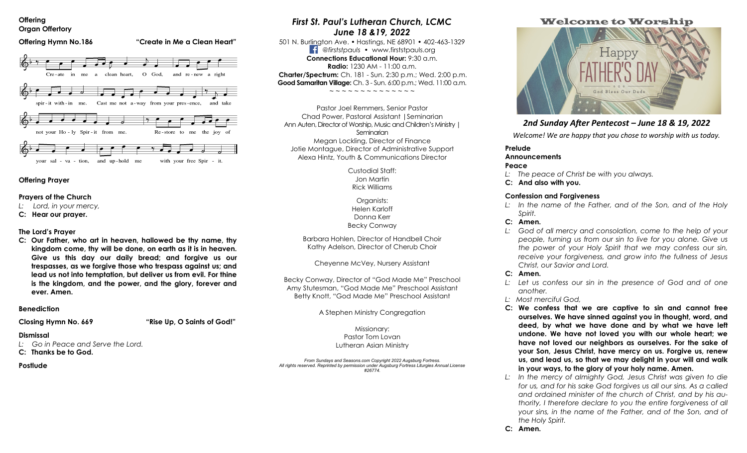#### **Offering Organ Offertory**



#### **Offering Prayer**

## **Prayers of the Church**

- *L: Lord, in your mercy,*
- **C: Hear our prayer.**

## **The Lord's Prayer**

**C: Our Father, who art in heaven, hallowed be thy name, thy kingdom come, thy will be done, on earth as it is in heaven. Give us this day our daily bread; and forgive us our trespasses, as we forgive those who trespass against us; and lead us not into temptation, but deliver us from evil. For thine is the kingdom, and the power, and the glory, forever and ever. Amen.** 

## **Benediction**

# **Closing Hymn No. 669 "Rise Up, O Saints of God!"**

## **Dismissal**

*L: Go in Peace and Serve the Lord.* 

## **C: Thanks be to God.**

## **Postlude**

# *First St. Paul's Lutheran Church, LCMC June 18 &19, 2022*

501 N. Burlington Ave. • Hastings, NE 68901 • 402-463-1329 *@firststpauls* • www.firststpauls.org **Connections Educational Hour:** 9:30 a.m. **Radio:** 1230 AM - 11:00  $\alpha$  m. **Charter/Spectrum:** Ch. 181 - Sun. 2:30 p.m.; Wed. 2:00 p.m. **Good Samaritan Village:** Ch. 3 - Sun. 6:00 p.m.; Wed. 11:00 a.m.

~ ~ ~ ~ ~ ~ ~ ~ ~ ~ ~ ~ ~ ~

Pastor Joel Remmers, Senior Pastor Chad Power, Pastoral Assistant |Seminarian Ann Auten, Director of Worship, Music and Children's Ministry | **Seminarian** Megan Lockling, Director of Finance Jotie Montague, Director of Administrative Support Alexa Hintz, Youth & Communications Director

> Custodial Staff: Jon Martin Rick Williams

Organists: Helen Karloff Donna Kerr Becky Conway

Barbara Hohlen, Director of Handbell Choir Kathy Adelson, Director of Cherub Choir

Cheyenne McVey, Nursery Assistant

Becky Conway, Director of "God Made Me" Preschool Amy Stutesman, "God Made Me" Preschool Assistant Betty Knott, "God Made Me" Preschool Assistant

A Stephen Ministry Congregation

Missionary: Pastor Tom Lovan Lutheran Asian Ministry

*From Sundays and Seasons.com Copyright 2022 Augsburg Fortress. All rights reserved. Reprinted by permission under Augsburg Fortress Liturgies Annual License #26774.*

# Welcome to Worship



# *2nd Sunday After Pentecost – June 18 & 19, 2022*

*Welcome! We are happy that you chose to worship with us today.* 

# **Prelude**

## **Announcements**

## **Peace**

- *L: The peace of Christ be with you always.*
- **C: And also with you.**

## **Confession and Forgiveness**

*L: In the name of the Father, and of the Son, and of the Holy Spirit.* 

## **C: Amen.**

L: God of all mercy and consolation, come to the help of your *people, turning us from our sin to live for you alone. Give us the power of your Holy Spirit that we may confess our sin, receive your forgiveness, and grow into the fullness of Jesus Christ, our Savior and Lord.* 

## **C: Amen.**

- *L: Let us confess our sin in the presence of God and of one another.*
- *L: Most merciful God,*
- **C: We confess that we are captive to sin and cannot free ourselves. We have sinned against you in thought, word, and deed, by what we have done and by what we have left undone. We have not loved you with our whole heart; we have not loved our neighbors as ourselves. For the sake of your Son, Jesus Christ, have mercy on us. Forgive us, renew us, and lead us, so that we may delight in your will and walk in your ways, to the glory of your holy name. Amen.**
- *L: In the mercy of almighty God, Jesus Christ was given to die for us, and for his sake God forgives us all our sins. As a called and ordained minister of the church of Christ, and by his authority, I therefore declare to you the entire forgiveness of all your sins, in the name of the Father, and of the Son, and of the Holy Spirit.*